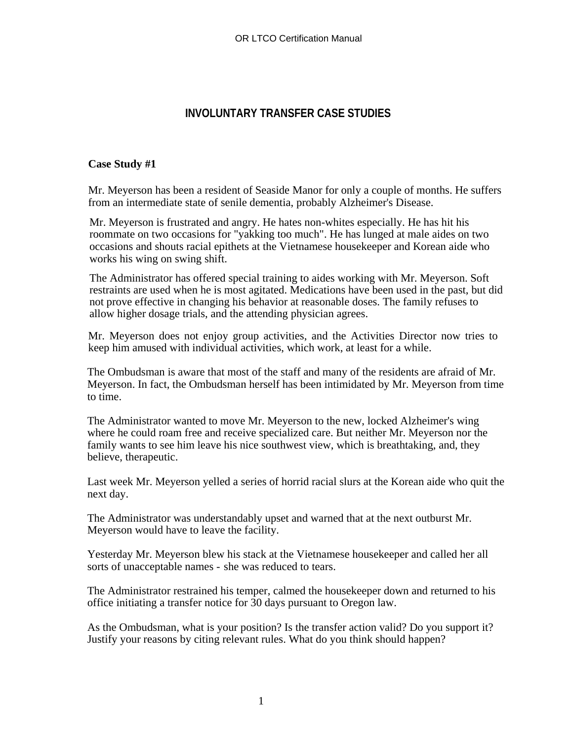## **INVOLUNTARY TRANSFER CASE STUDIES**

## **Case Study #1**

Mr. Meyerson has been a resident of Seaside Manor for only a couple of months. He suffers from an intermediate state of senile dementia, probably Alzheimer's Disease.

Mr. Meyerson is frustrated and angry. He hates non-whites especially. He has hit his roommate on two occasions for "yakking too much". He has lunged at male aides on two occasions and shouts racial epithets at the Vietnamese housekeeper and Korean aide who works his wing on swing shift.

The Administrator has offered special training to aides working with Mr. Meyerson. Soft restraints are used when he is most agitated. Medications have been used in the past, but did not prove effective in changing his behavior at reasonable doses. The family refuses to allow higher dosage trials, and the attending physician agrees.

Mr. Meyerson does not enjoy group activities, and the Activities Director now tries to keep him amused with individual activities, which work, at least for a while.

The Ombudsman is aware that most of the staff and many of the residents are afraid of Mr. Meyerson. In fact, the Ombudsman herself has been intimidated by Mr. Meyerson from time to time.

The Administrator wanted to move Mr. Meyerson to the new, locked Alzheimer's wing where he could roam free and receive specialized care. But neither Mr. Meyerson nor the family wants to see him leave his nice southwest view, which is breathtaking, and, they believe, therapeutic.

Last week Mr. Meyerson yelled a series of horrid racial slurs at the Korean aide who quit the next day.

The Administrator was understandably upset and warned that at the next outburst Mr. Meyerson would have to leave the facility.

Yesterday Mr. Meyerson blew his stack at the Vietnamese housekeeper and called her all sorts of unacceptable names - she was reduced to tears.

The Administrator restrained his temper, calmed the housekeeper down and returned to his office initiating a transfer notice for 30 days pursuant to Oregon law.

As the Ombudsman, what is your position? Is the transfer action valid? Do you support it? Justify your reasons by citing relevant rules. What do you think should happen?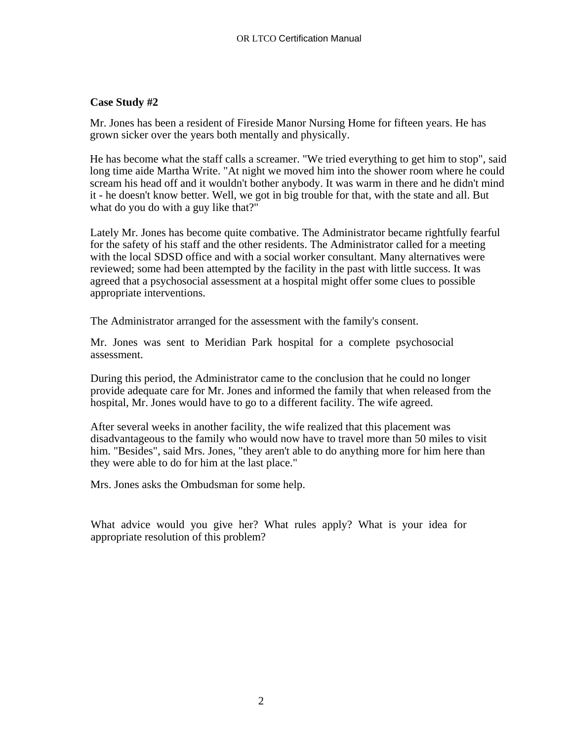## **Case Study #2**

Mr. Jones has been a resident of Fireside Manor Nursing Home for fifteen years. He has grown sicker over the years both mentally and physically.

He has become what the staff calls a screamer. "We tried everything to get him to stop", said long time aide Martha Write. "At night we moved him into the shower room where he could scream his head off and it wouldn't bother anybody. It was warm in there and he didn't mind it - he doesn't know better. Well, we got in big trouble for that, with the state and all. But what do you do with a guy like that?"

Lately Mr. Jones has become quite combative. The Administrator became rightfully fearful for the safety of his staff and the other residents. The Administrator called for a meeting with the local SDSD office and with a social worker consultant. Many alternatives were reviewed; some had been attempted by the facility in the past with little success. It was agreed that a psychosocial assessment at a hospital might offer some clues to possible appropriate interventions.

The Administrator arranged for the assessment with the family's consent.

Mr. Jones was sent to Meridian Park hospital for a complete psychosocial assessment.

During this period, the Administrator came to the conclusion that he could no longer provide adequate care for Mr. Jones and informed the family that when released from the hospital, Mr. Jones would have to go to a different facility. The wife agreed.

After several weeks in another facility, the wife realized that this placement was disadvantageous to the family who would now have to travel more than 50 miles to visit him. "Besides", said Mrs. Jones, "they aren't able to do anything more for him here than they were able to do for him at the last place."

Mrs. Jones asks the Ombudsman for some help.

What advice would you give her? What rules apply? What is your idea for appropriate resolution of this problem?